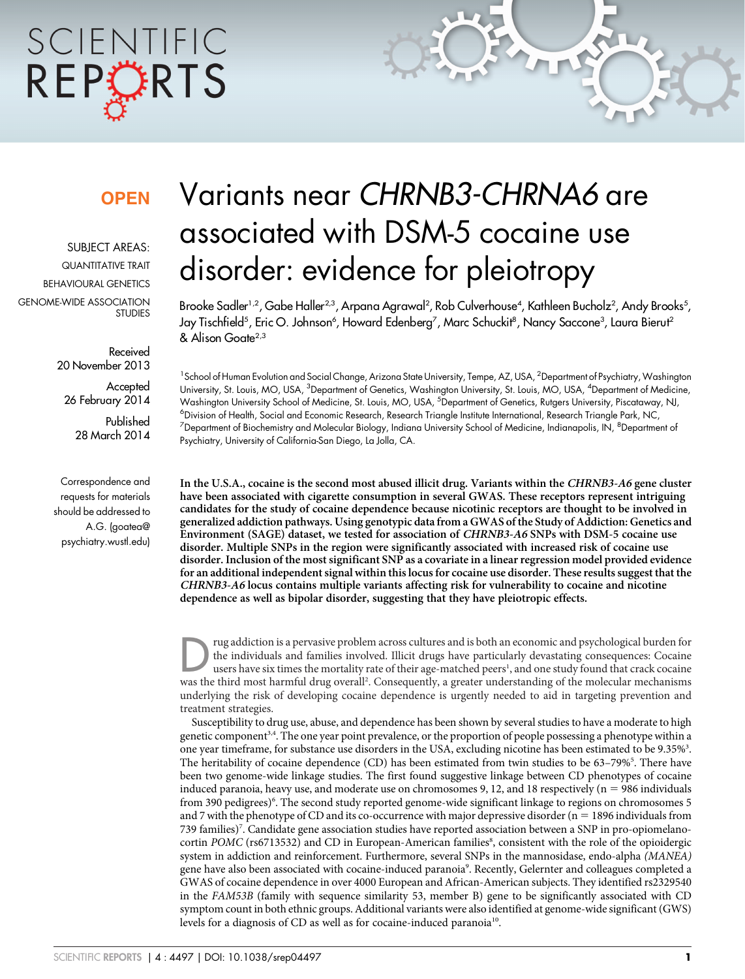# SCIENTIFIC REPORTS

### **OPFN**

SUBJECT AREAS: QUANTITATIVE TRAIT BEHAVIOURAL GENETICS GENOME-WIDE ASSOCIATION STUDIES

> Received 20 November 2013

**Accepted** 26 February 2014

> Published 28 March 2014

Correspondence and requests for materials should be addressed to A.G. (goatea@ psychiatry.wustl.edu)

## Variants near CHRNB3-CHRNA6 are associated with DSM-5 cocaine use disorder: evidence for pleiotropy

Brooke Sadler<sup>1,2</sup>, Gabe Haller<sup>2,3</sup>, Arpana Agrawal<sup>2</sup>, Rob Culverhouse<sup>4</sup>, Kathleen Bucholz<sup>2</sup>, Andy Brooks<sup>5</sup>, Jay Tischfield<sup>5</sup>, Eric O. Johnson<sup>6</sup>, Howard Edenberg<sup>7</sup>, Marc Schuckit<sup>8</sup>, Nancy Saccone<sup>3</sup>, Laura Bierut<sup>2</sup> & Alison Goate<sup>2,3</sup>

<sup>1</sup> School of Human Evolution and Social Change, Arizona State University, Tempe, AZ, USA, <sup>2</sup>Department of Psychiatry, Washington University, St. Louis, MO, USA, <sup>3</sup>Department of Genetics, Washington University, St. Louis, MO, USA, <sup>4</sup>Department of Medicine, Washington University School of Medicine, St. Louis, MO, USA, <sup>5</sup>Department of Genetics, Rutgers University, Piscataway, NJ, 6 Division of Health, Social and Economic Research, Research Triangle Institute International, Research Triangle Park, NC,  $^7$ Department of Biochemistry and Molecular Biology, Indiana University School of Medicine, Indianapolis, IN,  $^8$ Department of Psychiatry, University of California-San Diego, La Jolla, CA.

In the U.S.A., cocaine is the second most abused illicit drug. Variants within the CHRNB3-A6 gene cluster have been associated with cigarette consumption in several GWAS. These receptors represent intriguing candidates for the study of cocaine dependence because nicotinic receptors are thought to be involved in generalized addiction pathways. Using genotypic data from a GWAS of the Study of Addiction: Genetics and Environment (SAGE) dataset, we tested for association of CHRNB3-A6 SNPs with DSM-5 cocaine use disorder. Multiple SNPs in the region were significantly associated with increased risk of cocaine use disorder. Inclusion of the most significant SNP as a covariate in a linear regression model provided evidence for an additional independent signal within this locus for cocaine use disorder. These results suggest that the CHRNB3-A6 locus contains multiple variants affecting risk for vulnerability to cocaine and nicotine dependence as well as bipolar disorder, suggesting that they have pleiotropic effects.

rug addiction is a pervasive problem across cultures and is both an economic and psychological burden for the individuals and families involved. Illicit drugs have particularly devastating consequences: Cocaine users have the individuals and families involved. Illicit drugs have particularly devastating consequences: Cocaine was the third most harmful drug overall<sup>2</sup>. Consequently, a greater understanding of the molecular mechanisms underlying the risk of developing cocaine dependence is urgently needed to aid in targeting prevention and treatment strategies.

Susceptibility to drug use, abuse, and dependence has been shown by several studies to have a moderate to high genetic component3,4. The one year point prevalence, or the proportion of people possessing a phenotype within a one year timeframe, for substance use disorders in the USA, excluding nicotine has been estimated to be 9.35%<sup>3</sup>. The heritability of cocaine dependence (CD) has been estimated from twin studies to be 63-79%<sup>5</sup>. There have been two genome-wide linkage studies. The first found suggestive linkage between CD phenotypes of cocaine induced paranoia, heavy use, and moderate use on chromosomes 9, 12, and 18 respectively ( $n = 986$  individuals from 390 pedigrees)<sup>6</sup>. The second study reported genome-wide significant linkage to regions on chromosomes 5 and 7 with the phenotype of CD and its co-occurrence with major depressive disorder ( $n = 1896$  individuals from 739 families)7 . Candidate gene association studies have reported association between a SNP in pro-opiomelanocortin POMC (rs6713532) and CD in European-American families8, consistent with the role of the opioidergic system in addiction and reinforcement. Furthermore, several SNPs in the mannosidase, endo-alpha (MANEA) gene have also been associated with cocaine-induced paranoia<sup>9</sup>. Recently, Gelernter and colleagues completed a GWAS of cocaine dependence in over 4000 European and African-American subjects. They identified rs2329540 in the FAM53B (family with sequence similarity 53, member B) gene to be significantly associated with CD symptom count in both ethnic groups. Additional variants were also identified at genome-wide significant (GWS) levels for a diagnosis of CD as well as for cocaine-induced paranoia<sup>10</sup>.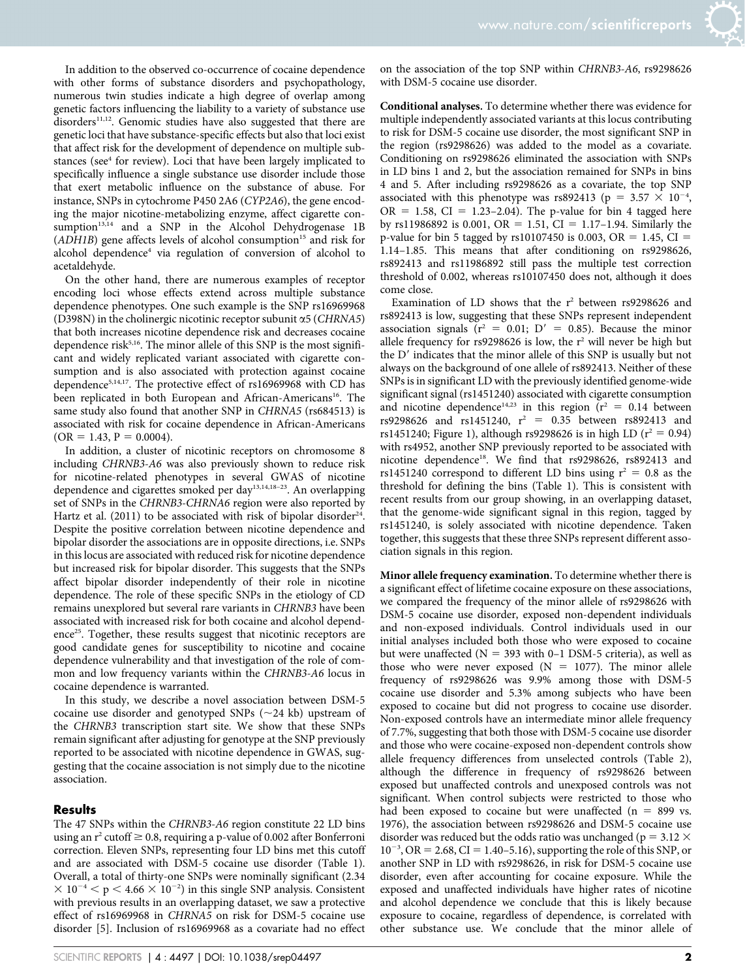In addition to the observed co-occurrence of cocaine dependence with other forms of substance disorders and psychopathology, numerous twin studies indicate a high degree of overlap among genetic factors influencing the liability to a variety of substance use disorders<sup>11,12</sup>. Genomic studies have also suggested that there are genetic loci that have substance-specific effects but also that loci exist that affect risk for the development of dependence on multiple substances (see<sup>4</sup> for review). Loci that have been largely implicated to specifically influence a single substance use disorder include those that exert metabolic influence on the substance of abuse. For instance, SNPs in cytochrome P450 2A6 (CYP2A6), the gene encoding the major nicotine-metabolizing enzyme, affect cigarette consumption<sup>13,14</sup> and a SNP in the Alcohol Dehydrogenase 1B  $(ADH1B)$  gene affects levels of alcohol consumption<sup>15</sup> and risk for alcohol dependence4 via regulation of conversion of alcohol to acetaldehyde.

On the other hand, there are numerous examples of receptor encoding loci whose effects extend across multiple substance dependence phenotypes. One such example is the SNP rs16969968 (D398N) in the cholinergic nicotinic receptor subunit  $\alpha$ 5 (CHRNA5) that both increases nicotine dependence risk and decreases cocaine dependence risk<sup>5,16</sup>. The minor allele of this SNP is the most significant and widely replicated variant associated with cigarette consumption and is also associated with protection against cocaine dependence5,14,17. The protective effect of rs16969968 with CD has been replicated in both European and African-Americans<sup>16</sup>. The same study also found that another SNP in CHRNA5 (rs684513) is associated with risk for cocaine dependence in African-Americans  $(OR = 1.43, P = 0.0004).$ 

In addition, a cluster of nicotinic receptors on chromosome 8 including CHRNB3-A6 was also previously shown to reduce risk for nicotine-related phenotypes in several GWAS of nicotine dependence and cigarettes smoked per day13,14,18–23. An overlapping set of SNPs in the CHRNB3-CHRNA6 region were also reported by Hartz et al.  $(2011)$  to be associated with risk of bipolar disorder<sup>24</sup>. Despite the positive correlation between nicotine dependence and bipolar disorder the associations are in opposite directions, i.e. SNPs in this locus are associated with reduced risk for nicotine dependence but increased risk for bipolar disorder. This suggests that the SNPs affect bipolar disorder independently of their role in nicotine dependence. The role of these specific SNPs in the etiology of CD remains unexplored but several rare variants in CHRNB3 have been associated with increased risk for both cocaine and alcohol dependence<sup>25</sup>. Together, these results suggest that nicotinic receptors are good candidate genes for susceptibility to nicotine and cocaine dependence vulnerability and that investigation of the role of common and low frequency variants within the CHRNB3-A6 locus in cocaine dependence is warranted.

In this study, we describe a novel association between DSM-5 cocaine use disorder and genotyped SNPs  $(\sim 24$  kb) upstream of the CHRNB3 transcription start site. We show that these SNPs remain significant after adjusting for genotype at the SNP previously reported to be associated with nicotine dependence in GWAS, suggesting that the cocaine association is not simply due to the nicotine association.

#### **Results**

The 47 SNPs within the CHRNB3-A6 region constitute 22 LD bins using an  $r^2$  cutoff  $\geq 0.8$ , requiring a p-value of 0.002 after Bonferroni correction. Eleven SNPs, representing four LD bins met this cutoff and are associated with DSM-5 cocaine use disorder (Table 1). Overall, a total of thirty-one SNPs were nominally significant (2.34  $\times$  10<sup>-4</sup>  $\lt p$  < 4.66  $\times$  10<sup>-2</sup>) in this single SNP analysis. Consistent with previous results in an overlapping dataset, we saw a protective effect of rs16969968 in CHRNA5 on risk for DSM-5 cocaine use disorder [5]. Inclusion of rs16969968 as a covariate had no effect

on the association of the top SNP within CHRNB3-A6, rs9298626 with DSM-5 cocaine use disorder.

Conditional analyses. To determine whether there was evidence for multiple independently associated variants at this locus contributing to risk for DSM-5 cocaine use disorder, the most significant SNP in the region (rs9298626) was added to the model as a covariate. Conditioning on rs9298626 eliminated the association with SNPs in LD bins 1 and 2, but the association remained for SNPs in bins 4 and 5. After including rs9298626 as a covariate, the top SNP associated with this phenotype was rs892413 ( $p = 3.57 \times 10^{-4}$ ,  $OR = 1.58$ ,  $CI = 1.23-2.04$ ). The p-value for bin 4 tagged here by rs11986892 is 0.001, OR = 1.51, CI = 1.17-1.94. Similarly the p-value for bin 5 tagged by rs10107450 is 0.003, OR = 1.45, CI = 1.14–1.85. This means that after conditioning on rs9298626, rs892413 and rs11986892 still pass the multiple test correction threshold of 0.002, whereas rs10107450 does not, although it does come close.

Examination of LD shows that the  $r^2$  between rs9298626 and rs892413 is low, suggesting that these SNPs represent independent association signals ( $r^2 = 0.01$ ;  $D' = 0.85$ ). Because the minor allele frequency for  $rs9298626$  is low, the  $r^2$  will never be high but the D<sup>'</sup> indicates that the minor allele of this SNP is usually but not always on the background of one allele of rs892413. Neither of these SNPs is in significant LD with the previously identified genome-wide significant signal (rs1451240) associated with cigarette consumption and nicotine dependence<sup>14,23</sup> in this region ( $r^2 = 0.14$  between rs9298626 and rs1451240,  $r^2 = 0.35$  between rs892413 and rs1451240; Figure 1), although rs9298626 is in high LD ( $r^2 = 0.94$ ) with rs4952, another SNP previously reported to be associated with nicotine dependence<sup>18</sup>. We find that rs9298626, rs892413 and rs1451240 correspond to different LD bins using  $r^2 = 0.8$  as the threshold for defining the bins (Table 1). This is consistent with recent results from our group showing, in an overlapping dataset, that the genome-wide significant signal in this region, tagged by rs1451240, is solely associated with nicotine dependence. Taken together, this suggests that these three SNPs represent different association signals in this region.

Minor allele frequency examination. To determine whether there is a significant effect of lifetime cocaine exposure on these associations, we compared the frequency of the minor allele of rs9298626 with DSM-5 cocaine use disorder, exposed non-dependent individuals and non-exposed individuals. Control individuals used in our initial analyses included both those who were exposed to cocaine but were unaffected ( $N = 393$  with 0–1 DSM-5 criteria), as well as those who were never exposed ( $N = 1077$ ). The minor allele frequency of rs9298626 was 9.9% among those with DSM-5 cocaine use disorder and 5.3% among subjects who have been exposed to cocaine but did not progress to cocaine use disorder. Non-exposed controls have an intermediate minor allele frequency of 7.7%, suggesting that both those with DSM-5 cocaine use disorder and those who were cocaine-exposed non-dependent controls show allele frequency differences from unselected controls (Table 2), although the difference in frequency of rs9298626 between exposed but unaffected controls and unexposed controls was not significant. When control subjects were restricted to those who had been exposed to cocaine but were unaffected  $(n = 899 \text{ vs.})$ 1976), the association between rs9298626 and DSM-5 cocaine use disorder was reduced but the odds ratio was unchanged ( $p = 3.12 \times$  $10^{-3}$ , OR = 2.68, CI = 1.40-5.16), supporting the role of this SNP, or another SNP in LD with rs9298626, in risk for DSM-5 cocaine use disorder, even after accounting for cocaine exposure. While the exposed and unaffected individuals have higher rates of nicotine and alcohol dependence we conclude that this is likely because exposure to cocaine, regardless of dependence, is correlated with other substance use. We conclude that the minor allele of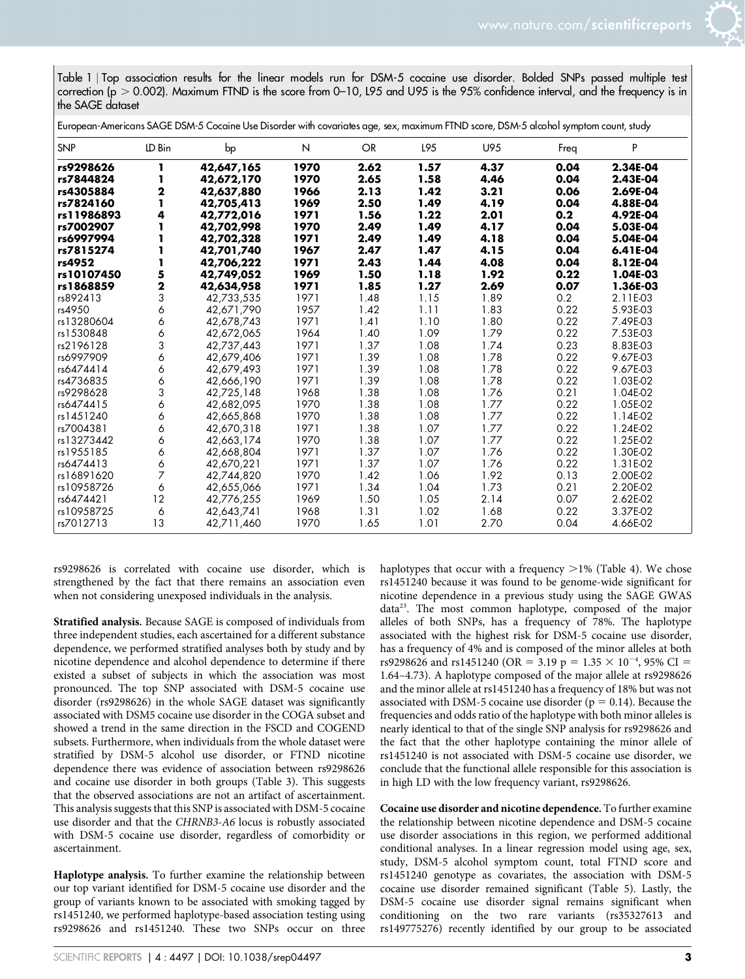Table 1 <sup>|</sup> Top association results for the linear models run for DSM-5 cocaine use disorder. Bolded SNPs passed multiple test correction ( $p > 0.002$ ). Maximum FTND is the score from 0–10, L95 and U95 is the 95% confidence interval, and the frequency is in the SAGE dataset

|            |        | European-Americans SAGE DSM-5 Cocaine Use Disorder with covariates age, sex, maximum FTND score, DSM-5 alcohol symptom count, study |      |      |      |      |      |          |
|------------|--------|-------------------------------------------------------------------------------------------------------------------------------------|------|------|------|------|------|----------|
| <b>SNP</b> | LD Bin | bp                                                                                                                                  | N    | OR   | L95  | U95  | Freq | P        |
| rs9298626  |        | 42,647,165                                                                                                                          | 1970 | 2.62 | 1.57 | 4.37 | 0.04 | 2.34E-04 |
| rs7844824  |        | 42,672,170                                                                                                                          | 1970 | 2.65 | 1.58 | 4.46 | 0.04 | 2.43E-04 |
| rs4305884  | 2      | 42,637,880                                                                                                                          | 1966 | 2.13 | 1.42 | 3.21 | 0.06 | 2.69E-04 |
| rs7824160  |        | 42,705,413                                                                                                                          | 1969 | 2.50 | 1.49 | 4.19 | 0.04 | 4.88E-04 |
| rs11986893 | 4      | 42,772,016                                                                                                                          | 1971 | 1.56 | 1.22 | 2.01 | 0.2  | 4.92E-04 |
| rs7002907  |        | 42,702,998                                                                                                                          | 1970 | 2.49 | 1.49 | 4.17 | 0.04 | 5.03E-04 |
| rs6997994  |        | 42,702,328                                                                                                                          | 1971 | 2.49 | 1.49 | 4.18 | 0.04 | 5.04E-04 |
| rs7815274  |        | 42,701,740                                                                                                                          | 1967 | 2.47 | 1.47 | 4.15 | 0.04 | 6.41E-04 |
| rs4952     |        | 42,706,222                                                                                                                          | 1971 | 2.43 | 1.44 | 4.08 | 0.04 | 8.12E-04 |
| rs10107450 | 5      | 42,749,052                                                                                                                          | 1969 | 1.50 | 1.18 | 1.92 | 0.22 | 1.04E-03 |
| rs1868859  | 2      | 42,634,958                                                                                                                          | 1971 | 1.85 | 1.27 | 2.69 | 0.07 | 1.36E-03 |
| rs892413   | 3      | 42,733,535                                                                                                                          | 1971 | 1.48 | 1.15 | 1.89 | 0.2  | 2.11E-03 |
| rs4950     | 6      | 42.671.790                                                                                                                          | 1957 | 1.42 | 1.11 | 1.83 | 0.22 | 5.93E-03 |
| rs13280604 | 6      | 42,678,743                                                                                                                          | 1971 | 1.41 | 1.10 | 1.80 | 0.22 | 7.49E-03 |
| rs1530848  | 6      | 42,672,065                                                                                                                          | 1964 | 1.40 | 1.09 | 1.79 | 0.22 | 7.53E-03 |
| rs2196128  | 3      | 42,737,443                                                                                                                          | 1971 | 1.37 | 1.08 | 1.74 | 0.23 | 8.83E-03 |
| rs6997909  | 6      | 42,679,406                                                                                                                          | 1971 | 1.39 | 1.08 | 1.78 | 0.22 | 9.67E-03 |
| rs6474414  | 6      | 42,679,493                                                                                                                          | 1971 | 1.39 | 1.08 | 1.78 | 0.22 | 9.67E-03 |
| rs4736835  | 6      | 42,666,190                                                                                                                          | 1971 | 1.39 | 1.08 | 1.78 | 0.22 | 1.03E-02 |
| rs9298628  | 3      | 42,725,148                                                                                                                          | 1968 | 1.38 | 1.08 | 1.76 | 0.21 | 1.04E-02 |
| rs6474415  | 6      | 42,682,095                                                                                                                          | 1970 | 1.38 | 1.08 | 1.77 | 0.22 | 1.05E-02 |
| rs1451240  | 6      | 42,665,868                                                                                                                          | 1970 | 1.38 | 1.08 | 1.77 | 0.22 | 1.14E-02 |
| rs7004381  | 6      | 42,670,318                                                                                                                          | 1971 | 1.38 | 1.07 | 1.77 | 0.22 | 1.24E-02 |
| rs13273442 | 6      | 42,663,174                                                                                                                          | 1970 | 1.38 | 1.07 | 1.77 | 0.22 | 1.25E-02 |
| rs1955185  | 6      | 42,668,804                                                                                                                          | 1971 | 1.37 | 1.07 | 1.76 | 0.22 | 1.30E-02 |
| rs6474413  | 6      | 42,670,221                                                                                                                          | 1971 | 1.37 | 1.07 | 1.76 | 0.22 | 1.31E-02 |
| rs16891620 | 7      | 42,744,820                                                                                                                          | 1970 | 1.42 | 1.06 | 1.92 | 0.13 | 2.00E-02 |
| rs10958726 | 6      | 42,655,066                                                                                                                          | 1971 | 1.34 | 1.04 | 1.73 | 0.21 | 2.20E-02 |
| rs6474421  | 12     | 42,776,255                                                                                                                          | 1969 | 1.50 | 1.05 | 2.14 | 0.07 | 2.62E-02 |
| rs10958725 | 6      | 42,643,741                                                                                                                          | 1968 | 1.31 | 1.02 | 1.68 | 0.22 | 3.37E-02 |
| rs7012713  | 13     | 42,711,460                                                                                                                          | 1970 | 1.65 | 1.01 | 2.70 | 0.04 | 4.66E-02 |

rs9298626 is correlated with cocaine use disorder, which is strengthened by the fact that there remains an association even when not considering unexposed individuals in the analysis.

Stratified analysis. Because SAGE is composed of individuals from three independent studies, each ascertained for a different substance dependence, we performed stratified analyses both by study and by nicotine dependence and alcohol dependence to determine if there existed a subset of subjects in which the association was most pronounced. The top SNP associated with DSM-5 cocaine use disorder (rs9298626) in the whole SAGE dataset was significantly associated with DSM5 cocaine use disorder in the COGA subset and showed a trend in the same direction in the FSCD and COGEND subsets. Furthermore, when individuals from the whole dataset were stratified by DSM-5 alcohol use disorder, or FTND nicotine dependence there was evidence of association between rs9298626 and cocaine use disorder in both groups (Table 3). This suggests that the observed associations are not an artifact of ascertainment. This analysis suggests that this SNP is associated with DSM-5 cocaine use disorder and that the CHRNB3-A6 locus is robustly associated with DSM-5 cocaine use disorder, regardless of comorbidity or ascertainment.

Haplotype analysis. To further examine the relationship between our top variant identified for DSM-5 cocaine use disorder and the group of variants known to be associated with smoking tagged by rs1451240, we performed haplotype-based association testing using rs9298626 and rs1451240. These two SNPs occur on three haplotypes that occur with a frequency  $>1\%$  (Table 4). We chose rs1451240 because it was found to be genome-wide significant for nicotine dependence in a previous study using the SAGE GWAS data23. The most common haplotype, composed of the major alleles of both SNPs, has a frequency of 78%. The haplotype associated with the highest risk for DSM-5 cocaine use disorder, has a frequency of 4% and is composed of the minor alleles at both rs9298626 and rs1451240 (OR = 3.19 p = 1.35  $\times$  10<sup>-4</sup>, 95% CI = 1.64–4.73). A haplotype composed of the major allele at rs9298626 and the minor allele at rs1451240 has a frequency of 18% but was not associated with DSM-5 cocaine use disorder ( $p = 0.14$ ). Because the frequencies and odds ratio of the haplotype with both minor alleles is nearly identical to that of the single SNP analysis for rs9298626 and the fact that the other haplotype containing the minor allele of rs1451240 is not associated with DSM-5 cocaine use disorder, we conclude that the functional allele responsible for this association is in high LD with the low frequency variant, rs9298626.

Cocaine use disorder and nicotine dependence. To further examine the relationship between nicotine dependence and DSM-5 cocaine use disorder associations in this region, we performed additional conditional analyses. In a linear regression model using age, sex, study, DSM-5 alcohol symptom count, total FTND score and rs1451240 genotype as covariates, the association with DSM-5 cocaine use disorder remained significant (Table 5). Lastly, the DSM-5 cocaine use disorder signal remains significant when conditioning on the two rare variants (rs35327613 and rs149775276) recently identified by our group to be associated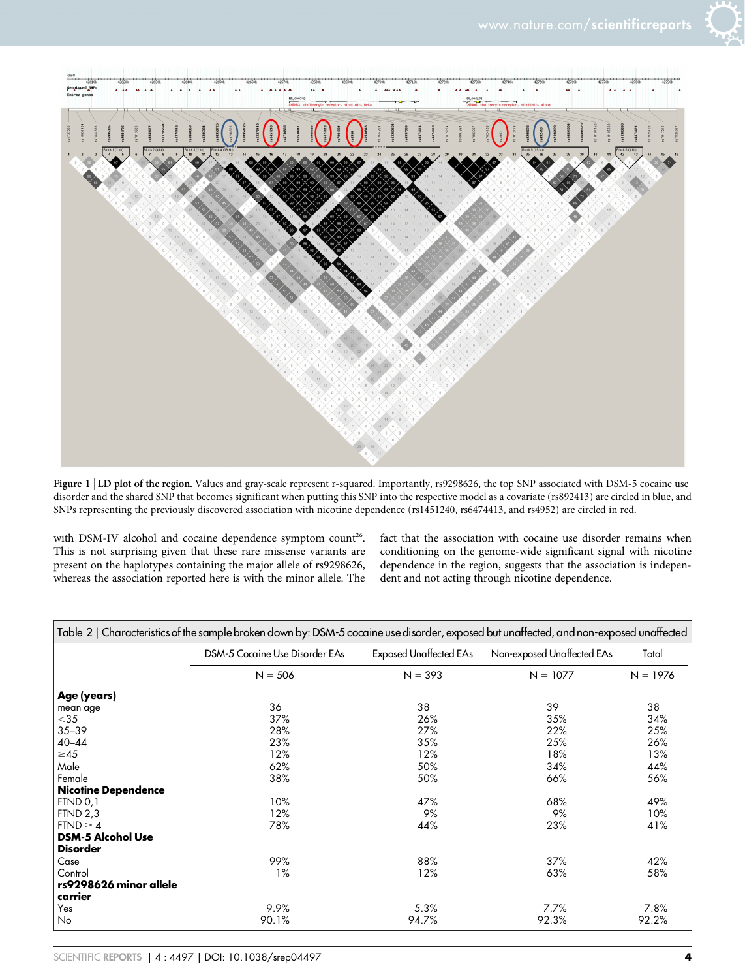



Figure 1 | LD plot of the region. Values and gray-scale represent r-squared. Importantly, rs9298626, the top SNP associated with DSM-5 cocaine use disorder and the shared SNP that becomes significant when putting this SNP into the respective model as a covariate (rs892413) are circled in blue, and SNPs representing the previously discovered association with nicotine dependence (rs1451240, rs6474413, and rs4952) are circled in red.

with DSM-IV alcohol and cocaine dependence symptom count<sup>26</sup>. This is not surprising given that these rare missense variants are present on the haplotypes containing the major allele of rs9298626, whereas the association reported here is with the minor allele. The fact that the association with cocaine use disorder remains when conditioning on the genome-wide significant signal with nicotine dependence in the region, suggests that the association is independent and not acting through nicotine dependence.

|                            | Table 2   Characteristics of the sample broken down by: DSM-5 cocaine use disorder, exposed but unaffected, and non-exposed unaffected |                        |                            |            |
|----------------------------|----------------------------------------------------------------------------------------------------------------------------------------|------------------------|----------------------------|------------|
|                            | <b>DSM-5 Cocaine Use Disorder EAs</b>                                                                                                  | Exposed Unaffected EAs | Non-exposed Unaffected EAs | Total      |
|                            | $N = 506$                                                                                                                              | $N = 393$              | $N = 1077$                 | $N = 1976$ |
| Age (years)                |                                                                                                                                        |                        |                            |            |
| mean age                   | 36                                                                                                                                     | 38                     | 39                         | 38         |
| $<$ 35                     | 37%                                                                                                                                    | 26%                    | 35%                        | 34%        |
| $35 - 39$                  | 28%                                                                                                                                    | 27%                    | 22%                        | 25%        |
| $40 - 44$                  | 23%                                                                                                                                    | 35%                    | 25%                        | 26%        |
| $\geq 45$                  | 12%                                                                                                                                    | 12%                    | 18%                        | 13%        |
| Male                       | 62%                                                                                                                                    | 50%                    | 34%                        | 44%        |
| Female                     | 38%                                                                                                                                    | 50%                    | 66%                        | 56%        |
| <b>Nicotine Dependence</b> |                                                                                                                                        |                        |                            |            |
| FTND 0,1                   | 10%                                                                                                                                    | 47%                    | 68%                        | 49%        |
| FTND 2.3                   | 12%                                                                                                                                    | 9%                     | 9%                         | 10%        |
| $FTND \geq 4$              | 78%                                                                                                                                    | 44%                    | 23%                        | 41%        |
| <b>DSM-5 Alcohol Use</b>   |                                                                                                                                        |                        |                            |            |
| <b>Disorder</b>            |                                                                                                                                        |                        |                            |            |
| Case                       | 99%                                                                                                                                    | 88%                    | 37%                        | 42%        |
| Control                    | $1\%$                                                                                                                                  | 12%                    | 63%                        | 58%        |
| rs9298626 minor allele     |                                                                                                                                        |                        |                            |            |
| carrier                    |                                                                                                                                        |                        |                            |            |
| Yes                        | 9.9%                                                                                                                                   | 5.3%                   | 7.7%                       | 7.8%       |
| No                         | 90.1%                                                                                                                                  | 94.7%                  | 92.3%                      | 92.2%      |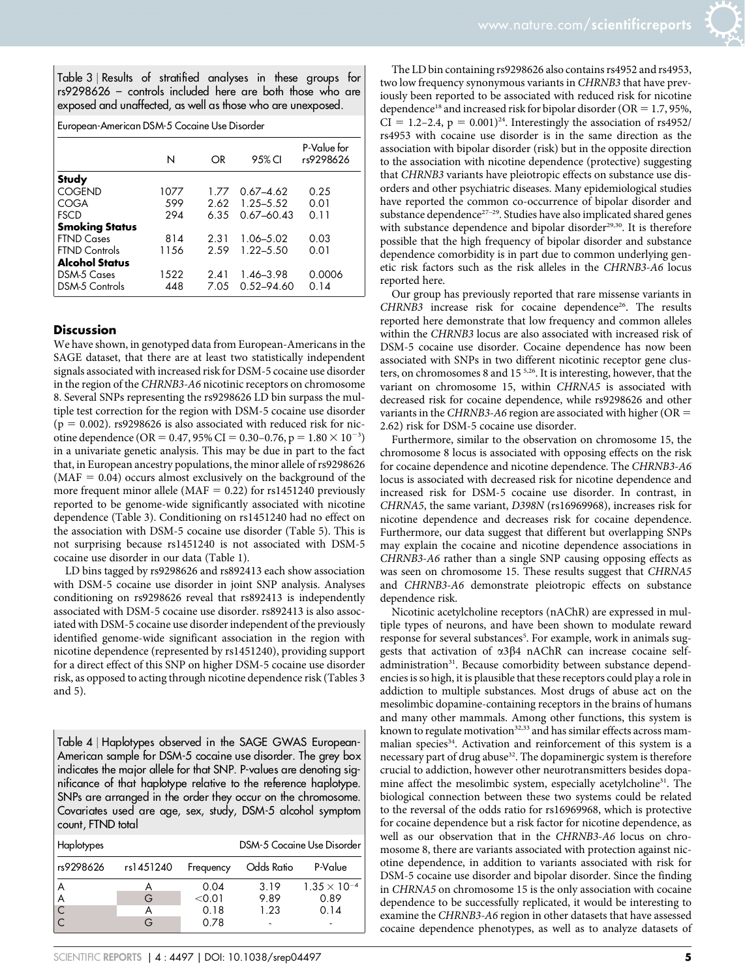Table 3 <sup>|</sup> Results of stratified analyses in these groups for rs9298626 – controls included here are both those who are exposed and unaffected, as well as those who are unexposed.

| European-American DSM-5 Cocaine Use Disorder |       |      |                |                          |
|----------------------------------------------|-------|------|----------------|--------------------------|
|                                              | N     | OR   | 95% CI         | P-Value for<br>rs9298626 |
| <b>Study</b>                                 |       |      |                |                          |
| <b>COGEND</b>                                | 1077  | 1.77 | $0.67 - 4.62$  | 0.25                     |
| COGA                                         | 599   | 2.62 | 1.25 - 5.52    | 0.O1                     |
| <b>FSCD</b>                                  | 294   | 6.35 | $0.67 - 60.43$ | 0.11                     |
| <b>Smoking Status</b>                        |       |      |                |                          |
| <b>FTND Cases</b>                            | 814   | 2.31 | 1.06-5.02      | 0.03                     |
| <b>FTND Controls</b>                         | 11.56 | 2.59 | $1.22 - 5.50$  | 0.O1                     |
| <b>Alcohol Status</b>                        |       |      |                |                          |
| DSM-5 Cases                                  | 1522  | 2.41 | 1.46-3.98      | 0.0006                   |
| <b>DSM-5 Controls</b>                        | 448   | 7.05 | $0.52 - 94.60$ | 0.14                     |

#### **Discussion**

We have shown, in genotyped data from European-Americans in the SAGE dataset, that there are at least two statistically independent signals associated with increased risk for DSM-5 cocaine use disorder in the region of the CHRNB3-A6 nicotinic receptors on chromosome 8. Several SNPs representing the rs9298626 LD bin surpass the multiple test correction for the region with DSM-5 cocaine use disorder  $(p = 0.002)$ . rs9298626 is also associated with reduced risk for nicotine dependence (OR = 0.47, 95% CI = 0.30–0.76, p =  $1.80 \times 10^{-3}$ ) in a univariate genetic analysis. This may be due in part to the fact that, in European ancestry populations, the minor allele of rs9298626  $(MAF = 0.04)$  occurs almost exclusively on the background of the more frequent minor allele (MAF =  $0.22$ ) for rs1451240 previously reported to be genome-wide significantly associated with nicotine dependence (Table 3). Conditioning on rs1451240 had no effect on the association with DSM-5 cocaine use disorder (Table 5). This is not surprising because rs1451240 is not associated with DSM-5 cocaine use disorder in our data (Table 1).

LD bins tagged by rs9298626 and rs892413 each show association with DSM-5 cocaine use disorder in joint SNP analysis. Analyses conditioning on rs9298626 reveal that rs892413 is independently associated with DSM-5 cocaine use disorder. rs892413 is also associated with DSM-5 cocaine use disorder independent of the previously identified genome-wide significant association in the region with nicotine dependence (represented by rs1451240), providing support for a direct effect of this SNP on higher DSM-5 cocaine use disorder risk, as opposed to acting through nicotine dependence risk (Tables 3 and 5).

Table 4 <sup>|</sup> Haplotypes observed in the SAGE GWAS European-American sample for DSM-5 cocaine use disorder. The grey box indicates the major allele for that SNP. P-values are denoting significance of that haplotype relative to the reference haplotype. SNPs are arranged in the order they occur on the chromosome. Covariates used are age, sex, study, DSM-5 alcohol symptom count, FTND total

| Haplotypes |           |                |              | <b>DSM-5 Cocaine Use Disorder</b> |
|------------|-----------|----------------|--------------|-----------------------------------|
| rs9298626  | rs1451240 | Frequency      | Odds Ratio   | P-Value                           |
| A<br>A     | G         | 0.04<br>< 0.01 | 3.19<br>9.89 | $1.35 \times 10^{-4}$<br>0.89     |
|            |           | 0.18<br>0.78   | 1.23         | 0.14                              |

The LD bin containing rs9298626 also contains rs4952 and rs4953, two low frequency synonymous variants in CHRNB3 that have previously been reported to be associated with reduced risk for nicotine dependence<sup>18</sup> and increased risk for bipolar disorder (OR = 1.7, 95%,  $CI = 1.2-2.4$ ,  $p = 0.001$ <sup>24</sup>. Interestingly the association of rs4952/ rs4953 with cocaine use disorder is in the same direction as the association with bipolar disorder (risk) but in the opposite direction to the association with nicotine dependence (protective) suggesting that CHRNB3 variants have pleiotropic effects on substance use disorders and other psychiatric diseases. Many epidemiological studies have reported the common co-occurrence of bipolar disorder and substance dependence<sup>27-29</sup>. Studies have also implicated shared genes with substance dependence and bipolar disorder<sup>29,30</sup>. It is therefore possible that the high frequency of bipolar disorder and substance dependence comorbidity is in part due to common underlying genetic risk factors such as the risk alleles in the CHRNB3-A6 locus reported here.

Our group has previously reported that rare missense variants in CHRNB3 increase risk for cocaine dependence<sup>26</sup>. The results reported here demonstrate that low frequency and common alleles within the CHRNB3 locus are also associated with increased risk of DSM-5 cocaine use disorder. Cocaine dependence has now been associated with SNPs in two different nicotinic receptor gene clusters, on chromosomes 8 and 15 5,26. It is interesting, however, that the variant on chromosome 15, within CHRNA5 is associated with decreased risk for cocaine dependence, while rs9298626 and other variants in the CHRNB3-A6 region are associated with higher ( $OR =$ 2.62) risk for DSM-5 cocaine use disorder.

Furthermore, similar to the observation on chromosome 15, the chromosome 8 locus is associated with opposing effects on the risk for cocaine dependence and nicotine dependence. The CHRNB3-A6 locus is associated with decreased risk for nicotine dependence and increased risk for DSM-5 cocaine use disorder. In contrast, in CHRNA5, the same variant, D398N (rs16969968), increases risk for nicotine dependence and decreases risk for cocaine dependence. Furthermore, our data suggest that different but overlapping SNPs may explain the cocaine and nicotine dependence associations in CHRNB3-A6 rather than a single SNP causing opposing effects as was seen on chromosome 15. These results suggest that CHRNA5 and CHRNB3-A6 demonstrate pleiotropic effects on substance dependence risk.

Nicotinic acetylcholine receptors (nAChR) are expressed in multiple types of neurons, and have been shown to modulate reward response for several substances<sup>5</sup>. For example, work in animals suggests that activation of  $\alpha$ 3 $\beta$ 4 nAChR can increase cocaine selfadministration<sup>31</sup>. Because comorbidity between substance dependencies is so high, it is plausible that these receptors could play a role in addiction to multiple substances. Most drugs of abuse act on the mesolimbic dopamine-containing receptors in the brains of humans and many other mammals. Among other functions, this system is known to regulate motivation<sup>32,33</sup> and has similar effects across mammalian species<sup>34</sup>. Activation and reinforcement of this system is a necessary part of drug abuse<sup>32</sup>. The dopaminergic system is therefore crucial to addiction, however other neurotransmitters besides dopamine affect the mesolimbic system, especially acetylcholine<sup>31</sup>. The biological connection between these two systems could be related to the reversal of the odds ratio for rs16969968, which is protective for cocaine dependence but a risk factor for nicotine dependence, as well as our observation that in the CHRNB3-A6 locus on chromosome 8, there are variants associated with protection against nicotine dependence, in addition to variants associated with risk for DSM-5 cocaine use disorder and bipolar disorder. Since the finding in CHRNA5 on chromosome 15 is the only association with cocaine dependence to be successfully replicated, it would be interesting to examine the CHRNB3-A6 region in other datasets that have assessed cocaine dependence phenotypes, as well as to analyze datasets of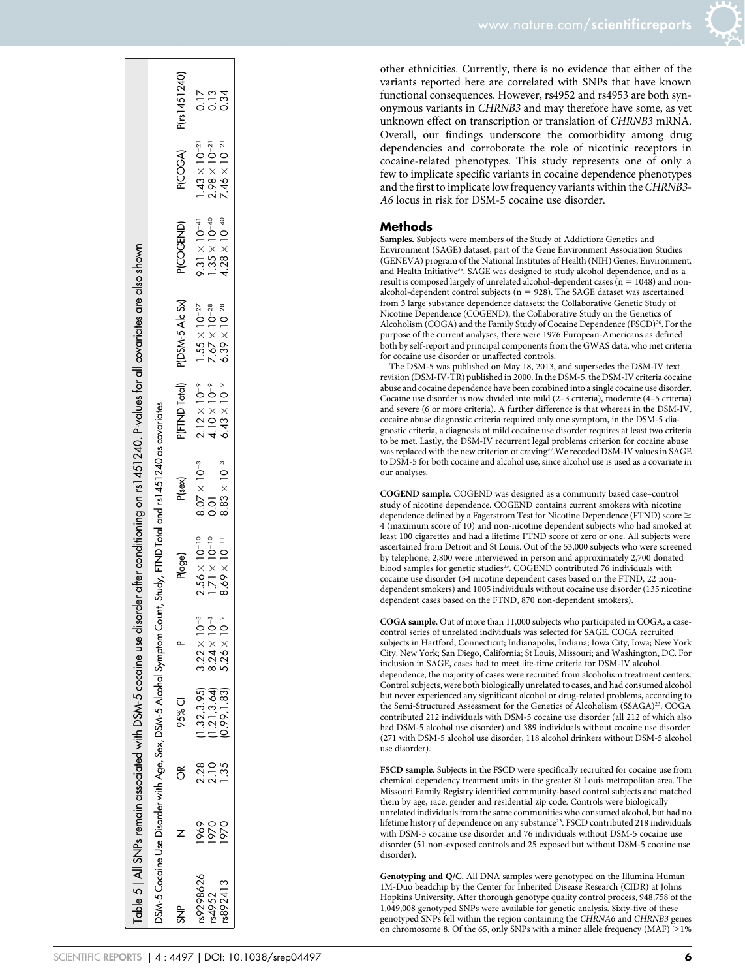| www.nature.com/ <b>scientificreports</b> |  |
|------------------------------------------|--|
|                                          |  |

other ethnicities. Currently, there is no evidence that either of the

variants reported here are correlated with SNPs that have known functional consequences. However, rs4952 and rs4953 are both synonymous variants in CHRNB3 and may therefore have some, as yet unknown effect on transcription or translation of CHRNB3 mRNA. Overall, our findings underscore the comorbidity among drug dependencies and corroborate the role of nicotinic receptors in cocaine-related phenotypes. This study represents one of only a few to implicate specific variants in cocaine dependence phenotypes and the first to implicate low frequency variants within the CHRNB3- A6 locus in risk for DSM-5 cocaine use disorder.

#### **Methods**

Samples. Subjects were members of the Study of Addiction: Genetics and Environment (SAGE) dataset, part of the Gene Environment Association Studies (GENEVA) program of the National Institutes of Health (NIH) Genes, Environment, and Health Initiative<sup>35</sup>. SAGE was designed to study alcohol dependence, and as a result is composed largely of unrelated alcohol-dependent cases ( $n = 1048$ ) and nonalcohol-dependent control subjects ( $n = 928$ ). The SAGE dataset was ascertained from 3 large substance dependence datasets: the Collaborative Genetic Study of Nicotine Dependence (COGEND), the Collaborative Study on the Genetics of Alcoholism (COGA) and the Family Study of Cocaine Dependence (FSCD)<sup>36</sup>. For the purpose of the current analyses, there were 1976 European-Americans as defined both by self-report and principal components from the GWAS data, who met criteria for cocaine use disorder or unaffected controls.

The DSM-5 was published on May 18, 2013, and supersedes the DSM-IV text revision (DSM-IV-TR) published in 2000. In the DSM-5, the DSM-IV criteria cocaine abuse and cocaine dependence have been combined into a single cocaine use disorder. Cocaine use disorder is now divided into mild (2–3 criteria), moderate (4–5 criteria) and severe (6 or more criteria). A further difference is that whereas in the DSM-IV, cocaine abuse diagnostic criteria required only one symptom, in the DSM-5 diagnostic criteria, a diagnosis of mild cocaine use disorder requires at least two criteria to be met. Lastly, the DSM-IV recurrent legal problems criterion for cocaine abuse was replaced with the new criterion of craving<sup>37</sup>. We recoded DSM-IV values in SAGE to DSM-5 for both cocaine and alcohol use, since alcohol use is used as a covariate in our analyses.

COGEND sample. COGEND was designed as a community based case–control study of nicotine dependence. COGEND contains current smokers with nicotine dependence defined by a Fagerstrom Test for Nicotine Dependence (FTND) score  $\geq$ 4 (maximum score of 10) and non-nicotine dependent subjects who had smoked at least 100 cigarettes and had a lifetime FTND score of zero or one. All subjects were ascertained from Detroit and St Louis. Out of the 53,000 subjects who were screened by telephone, 2,800 were interviewed in person and approximately 2,700 donated blood samples for genetic studies<sup>23</sup>. COGEND contributed 76 individuals with cocaine use disorder (54 nicotine dependent cases based on the FTND, 22 nondependent smokers) and 1005 individuals without cocaine use disorder (135 nicotine dependent cases based on the FTND, 870 non-dependent smokers).

COGA sample. Out of more than 11,000 subjects who participated in COGA, a casecontrol series of unrelated individuals was selected for SAGE. COGA recruited subjects in Hartford, Connecticut; Indianapolis, Indiana; Iowa City, Iowa; New York City, New York; San Diego, California; St Louis, Missouri; and Washington, DC. For inclusion in SAGE, cases had to meet life-time criteria for DSM-IV alcohol dependence, the majority of cases were recruited from alcoholism treatment centers. Control subjects, were both biologically unrelated to cases, and had consumed alcohol but never experienced any significant alcohol or drug-related problems, according to the Semi-Structured Assessment for the Genetics of Alcoholism (SSAGA)<sup>23</sup>. COGA contributed 212 individuals with DSM-5 cocaine use disorder (all 212 of which also had DSM-5 alcohol use disorder) and 389 individuals without cocaine use disorder (271 with DSM-5 alcohol use disorder, 118 alcohol drinkers without DSM-5 alcohol use disorder).

FSCD sample. Subjects in the FSCD were specifically recruited for cocaine use from chemical dependency treatment units in the greater St Louis metropolitan area. The Missouri Family Registry identified community-based control subjects and matched them by age, race, gender and residential zip code. Controls were biologically unrelated individuals from the same communities who consumed alcohol, but had no lifetime history of dependence on any substance<sup>23</sup>. FSCD contributed 218 individuals with DSM-5 cocaine use disorder and 76 individuals without DSM-5 cocaine use disorder (51 non-exposed controls and 25 exposed but without DSM-5 cocaine use disorder).

Genotyping and Q/C. All DNA samples were genotyped on the Illumina Human 1M-Duo beadchip by the Center for Inherited Disease Research (CIDR) at Johns Hopkins University. After thorough genotype quality control process, 948,758 of the 1,049,008 genotyped SNPs were available for genetic analysis. Sixty-five of these genotyped SNPs fell within the region containing the CHRNA6 and CHRNB3 genes on chromosome 8. Of the 65, only SNPs with a minor allele frequency (MAF)  $>1\%$ 

| $P(COGA)$ $P(rs1451240)$<br>$1.43 \times 10^{-21}$<br>$2.98 \times 10^{-21}$<br>$7.46 \times 10^{-21}$<br>$9.31 \times 10^{-41}$<br>$1.35 \times 10^{-40}$<br>$4.28 \times 10^{-40}$<br>PICOGEND)<br>P(FTND Total) P(DSM-5 Alc Sx)<br>$1.55 \times 10^{-27}$<br>$7.67 \times 10^{-28}$<br>$6.39 \times 10^{-28}$<br>$2.12 \times 10^{-9}$<br>$4.10 \times 10^{-9}$<br>$6.43 \times 10^{-9}$<br>SSM-5 Cocaine Use Disorder with Age, Sex, DSM-5 Alcohol Symptom Count, Study, FTND Total and rs1451240 as covariates<br>$8.07 \times 10^{-3}$<br>$8.83 \times 10^{-3}$<br>P <sub>(sex)</sub><br>$\overline{0}$<br>$2.56 \times 10^{-10}$<br>$8.69 \times 10^{-11}$<br>$1.71 \times 10^{-10}$<br>P <sub>(age)</sub><br>$\int_{0}^{3}$<br>$\sigma$ <sup>-3</sup><br>$0-2$<br>$3.22 \times 1$<br>$5.26 \times$<br>$8.24 \times$<br>(1.21, 3.64)<br>(1.32, 3.95)<br><b>P5% CI</b><br>2.28<br>$\frac{1}{2}$<br>1.35<br>ð<br>1969<br>970<br>970<br>9298626<br>892413 |  |             |  |  | rable 5   All SNPs remain associated with DSM-5 cocaine use disorder after conditioning on rs1 451240. P-values for all covariates are also shown |  |                |
|---------------------------------------------------------------------------------------------------------------------------------------------------------------------------------------------------------------------------------------------------------------------------------------------------------------------------------------------------------------------------------------------------------------------------------------------------------------------------------------------------------------------------------------------------------------------------------------------------------------------------------------------------------------------------------------------------------------------------------------------------------------------------------------------------------------------------------------------------------------------------------------------------------------------------------------------------------------|--|-------------|--|--|---------------------------------------------------------------------------------------------------------------------------------------------------|--|----------------|
|                                                                                                                                                                                                                                                                                                                                                                                                                                                                                                                                                                                                                                                                                                                                                                                                                                                                                                                                                               |  |             |  |  |                                                                                                                                                   |  |                |
|                                                                                                                                                                                                                                                                                                                                                                                                                                                                                                                                                                                                                                                                                                                                                                                                                                                                                                                                                               |  |             |  |  |                                                                                                                                                   |  |                |
| s4952                                                                                                                                                                                                                                                                                                                                                                                                                                                                                                                                                                                                                                                                                                                                                                                                                                                                                                                                                         |  |             |  |  |                                                                                                                                                   |  | 0.17           |
|                                                                                                                                                                                                                                                                                                                                                                                                                                                                                                                                                                                                                                                                                                                                                                                                                                                                                                                                                               |  |             |  |  |                                                                                                                                                   |  | $\frac{13}{2}$ |
|                                                                                                                                                                                                                                                                                                                                                                                                                                                                                                                                                                                                                                                                                                                                                                                                                                                                                                                                                               |  | 0.99, 1.83) |  |  |                                                                                                                                                   |  | 0.34           |

 $\sim 1$  $\mathbf{L}$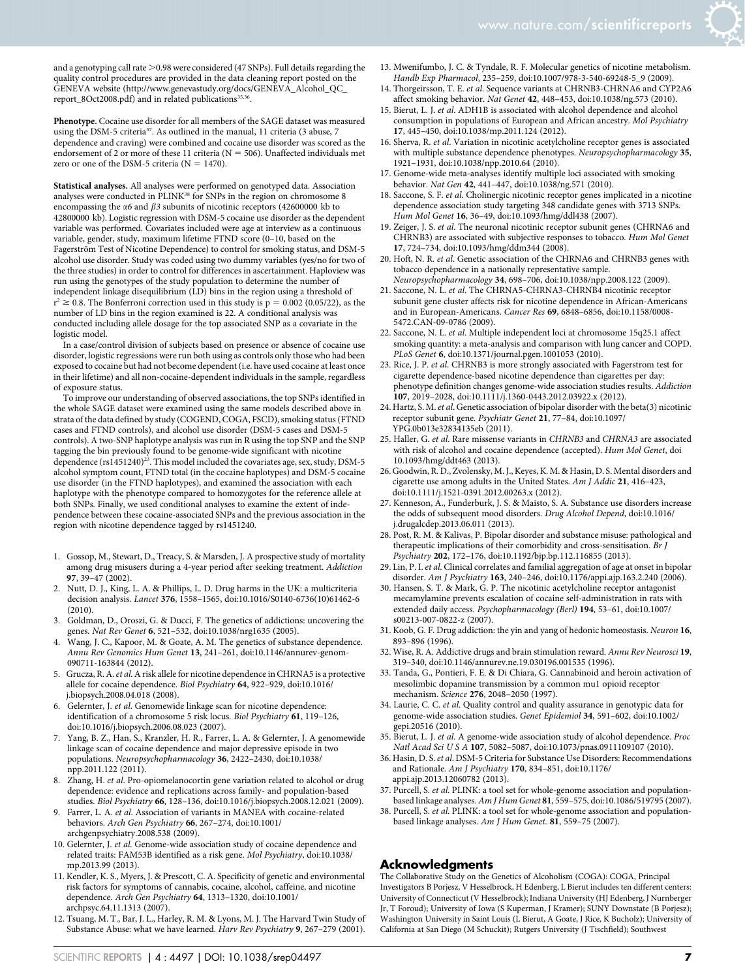and a genotyping call rate  $>$  0.98 were considered (47 SNPs). Full details regarding the quality control procedures are provided in the data cleaning report posted on the GENEVA website ([http://www.genevastudy.org/docs/GENEVA\\_Alcohol\\_QC\\_](http://www.genevastudy.org/docs/GENEVA_Alcohol_QC_report_8Oct2008.pdf) [report\\_8Oct2008.pdf\)](http://www.genevastudy.org/docs/GENEVA_Alcohol_QC_report_8Oct2008.pdf) and in related publications<sup>35,36</sup>.

Phenotype. Cocaine use disorder for all members of the SAGE dataset was measured using the DSM-5 criteria<sup>37</sup>. As outlined in the manual, 11 criteria (3 abuse, 7 dependence and craving) were combined and cocaine use disorder was scored as the endorsement of 2 or more of these 11 criteria ( $N = 506$ ). Unaffected individuals met zero or one of the DSM-5 criteria ( $N = 1470$ ).

Statistical analyses. All analyses were performed on genotyped data. Association analyses were conducted in PLINK<sup>38</sup> for SNPs in the region on chromosome 8 encompassing the  $\alpha$ 6 and  $\beta$ 3 subunits of nicotinic receptors (42600000 kb to 42800000 kb). Logistic regression with DSM-5 cocaine use disorder as the dependent variable was performed. Covariates included were age at interview as a continuous variable, gender, study, maximum lifetime FTND score (0–10, based on the Fagerström Test of Nicotine Dependence) to control for smoking status, and DSM-5 alcohol use disorder. Study was coded using two dummy variables (yes/no for two of the three studies) in order to control for differences in ascertainment. Haploview was run using the genotypes of the study population to determine the number of independent linkage disequilibrium (LD) bins in the region using a threshold of  $r^2 \ge 0.8$ . The Bonferroni correction used in this study is  $p = 0.002$  (0.05/22), as the number of LD bins in the region examined is 22. A conditional analysis was conducted including allele dosage for the top associated SNP as a covariate in the logistic model.

In a case/control division of subjects based on presence or absence of cocaine use disorder, logistic regressions were run both using as controls only those who had been exposed to cocaine but had not become dependent (i.e. have used cocaine at least once in their lifetime) and all non-cocaine-dependent individuals in the sample, regardless of exposure status.

To improve our understanding of observed associations, the top SNPs identified in the whole SAGE dataset were examined using the same models described above in strata of the data defined by study (COGEND, COGA, FSCD), smoking status (FTND cases and FTND controls), and alcohol use disorder (DSM-5 cases and DSM-5 controls). A two-SNP haplotype analysis was run in R using the top SNP and the SNP tagging the bin previously found to be genome-wide significant with nicotine<br>dependence (rs1451240)<sup>23</sup>. This model included the covariates age, sex, study, DSM-5 alcohol symptom count, FTND total (in the cocaine haplotypes) and DSM-5 cocaine use disorder (in the FTND haplotypes), and examined the association with each haplotype with the phenotype compared to homozygotes for the reference allele at both SNPs. Finally, we used conditional analyses to examine the extent of independence between these cocaine-associated SNPs and the previous association in the region with nicotine dependence tagged by rs1451240.

- 1. Gossop, M., Stewart, D., Treacy, S. & Marsden, J. A prospective study of mortality among drug misusers during a 4-year period after seeking treatment. Addiction 97, 39–47 (2002).
- 2. Nutt, D. J., King, L. A. & Phillips, L. D. Drug harms in the UK: a multicriteria decision analysis. Lancet 376, 1558–1565, doi:10.1016/S0140-6736(10)61462-6 (2010).
- 3. Goldman, D., Oroszi, G. & Ducci, F. The genetics of addictions: uncovering the genes. Nat Rev Genet 6, 521–532, doi:10.1038/nrg1635 (2005).
- 4. Wang, J. C., Kapoor, M. & Goate, A. M. The genetics of substance dependence. Annu Rev Genomics Hum Genet 13, 241–261, doi:10.1146/annurev-genom-090711-163844 (2012).
- 5. Grucza, R. A.et al. A risk allele for nicotine dependence in CHRNA5 is a protective allele for cocaine dependence. Biol Psychiatry 64, 922–929, doi:10.1016/ j.biopsych.2008.04.018 (2008).
- 6. Gelernter, J. et al. Genomewide linkage scan for nicotine dependence: identification of a chromosome 5 risk locus. Biol Psychiatry 61, 119–126, doi:10.1016/j.biopsych.2006.08.023 (2007).
- 7. Yang, B. Z., Han, S., Kranzler, H. R., Farrer, L. A. & Gelernter, J. A genomewide linkage scan of cocaine dependence and major depressive episode in two populations. Neuropsychopharmacology 36, 2422–2430, doi:10.1038/ npp.2011.122 (2011).
- 8. Zhang, H. et al. Pro-opiomelanocortin gene variation related to alcohol or drug dependence: evidence and replications across family- and population-based studies. Biol Psychiatry 66, 128–136, doi:10.1016/j.biopsych.2008.12.021 (2009).
- 9. Farrer, L. A. et al. Association of variants in MANEA with cocaine-related behaviors. Arch Gen Psychiatry 66, 267–274, doi:10.1001/
- archgenpsychiatry.2008.538 (2009). 10. Gelernter, J. et al. Genome-wide association study of cocaine dependence and related traits: FAM53B identified as a risk gene. Mol Psychiatry, doi:10.1038/ mp.2013.99 (2013).
- 11. Kendler, K. S., Myers, J. & Prescott, C. A. Specificity of genetic and environmental risk factors for symptoms of cannabis, cocaine, alcohol, caffeine, and nicotine dependence. Arch Gen Psychiatry 64, 1313–1320, doi:10.1001/ archpsyc.64.11.1313 (2007).
- 12. Tsuang, M. T., Bar, J. L., Harley, R. M. & Lyons, M. J. The Harvard Twin Study of Substance Abuse: what we have learned. Harv Rev Psychiatry 9, 267–279 (2001).
- 13. Mwenifumbo, J. C. & Tyndale, R. F. Molecular genetics of nicotine metabolism. Handb Exp Pharmacol, 235–259, doi:10.1007/978-3-540-69248-5\_9 (2009).
- 14. Thorgeirsson, T. E. et al. Sequence variants at CHRNB3-CHRNA6 and CYP2A6 affect smoking behavior. Nat Genet 42, 448–453, doi:10.1038/ng.573 (2010).
- 15. Bierut, L. J. et al. ADH1B is associated with alcohol dependence and alcohol consumption in populations of European and African ancestry. Mol Psychiatry 17, 445–450, doi:10.1038/mp.2011.124 (2012).
- 16. Sherva, R. et al. Variation in nicotinic acetylcholine receptor genes is associated with multiple substance dependence phenotypes. Neuropsychopharmacology 35, 1921–1931, doi:10.1038/npp.2010.64 (2010).
- 17. Genome-wide meta-analyses identify multiple loci associated with smoking behavior. Nat Gen 42, 441–447, doi:10.1038/ng.571 (2010).
- 18. Saccone, S. F. et al. Cholinergic nicotinic receptor genes implicated in a nicotine dependence association study targeting 348 candidate genes with 3713 SNPs. Hum Mol Genet 16, 36-49, doi:10.1093/hmg/ddl438 (2007).
- 19. Zeiger, J. S. et al. The neuronal nicotinic receptor subunit genes (CHRNA6 and CHRNB3) are associated with subjective responses to tobacco. Hum Mol Genet 17, 724–734, doi:10.1093/hmg/ddm344 (2008).
- 20. Hoft, N. R. et al. Genetic association of the CHRNA6 and CHRNB3 genes with tobacco dependence in a nationally representative sample. Neuropsychopharmacology 34, 698–706, doi:10.1038/npp.2008.122 (2009).
- 21. Saccone, N. L. et al. The CHRNA5-CHRNA3-CHRNB4 nicotinic receptor subunit gene cluster affects risk for nicotine dependence in African-Americans and in European-Americans. Cancer Res 69, 6848–6856, doi:10.1158/0008- 5472.CAN-09-0786 (2009).
- 22. Saccone, N. L. et al. Multiple independent loci at chromosome 15q25.1 affect smoking quantity: a meta-analysis and comparison with lung cancer and COPD. PLoS Genet 6, doi:10.1371/journal.pgen.1001053 (2010).
- 23. Rice, J. P. et al. CHRNB3 is more strongly associated with Fagerstrom test for cigarette dependence-based nicotine dependence than cigarettes per day: phenotype definition changes genome-wide association studies results. Addiction 107, 2019–2028, doi:10.1111/j.1360-0443.2012.03922.x (2012).
- 24. Hartz, S. M. et al. Genetic association of bipolar disorder with the beta(3) nicotinic receptor subunit gene. Psychiatr Genet 21, 77–84, doi:10.1097/ YPG.0b013e32834135eb (2011).
- 25. Haller, G. et al. Rare missense variants in CHRNB3 and CHRNA3 are associated with risk of alcohol and cocaine dependence (accepted). Hum Mol Genet, doi 10.1093/hmg/ddt463 (2013).
- 26. Goodwin, R. D., Zvolensky, M. J., Keyes, K. M. & Hasin, D. S. Mental disorders and cigarette use among adults in the United States. Am J Addic 21, 416–423, doi:10.1111/j.1521-0391.2012.00263.x (2012).
- 27. Kenneson, A., Funderburk, J. S. & Maisto, S. A. Substance use disorders increase the odds of subsequent mood disorders. Drug Alcohol Depend, doi:10.1016/ j.drugalcdep.2013.06.011 (2013).
- 28. Post, R. M. & Kalivas, P. Bipolar disorder and substance misuse: pathological and therapeutic implications of their comorbidity and cross-sensitisation. Br J Psychiatry 202, 172–176, doi:10.1192/bjp.bp.112.116855 (2013).
- 29. Lin, P. I. et al. Clinical correlates and familial aggregation of age at onset in bipolar disorder. Am J Psychiatry 163, 240–246, doi:10.1176/appi.ajp.163.2.240 (2006).
- 30. Hansen, S. T. & Mark, G. P. The nicotinic acetylcholine receptor antagonist mecamylamine prevents escalation of cocaine self-administration in rats with extended daily access. Psychopharmacology (Berl) 194, 53–61, doi:10.1007/ s00213-007-0822-z (2007).
- 31. Koob, G. F. Drug addiction: the yin and yang of hedonic homeostasis. Neuron 16, 893–896 (1996).
- 32. Wise, R. A. Addictive drugs and brain stimulation reward. Annu Rev Neurosci 19, 319–340, doi:10.1146/annurev.ne.19.030196.001535 (1996).
- 33. Tanda, G., Pontieri, F. E. & Di Chiara, G. Cannabinoid and heroin activation of mesolimbic dopamine transmission by a common mu1 opioid receptor mechanism. Science 276, 2048–2050 (1997).
- 34. Laurie, C. C. et al. Quality control and quality assurance in genotypic data for genome-wide association studies. Genet Epidemiol 34, 591–602, doi:10.1002/ gepi.20516 (2010).
- 35. Bierut, L. J. et al. A genome-wide association study of alcohol dependence. Proc Natl Acad Sci U S A 107, 5082–5087, doi:10.1073/pnas.0911109107 (2010).
- 36. Hasin, D. S. et al. DSM-5 Criteria for Substance Use Disorders: Recommendations and Rationale. Am J Psychiatry 170, 834–851, doi:10.1176/ appi.ajp.2013.12060782 (2013).
- 37. Purcell, S. et al. PLINK: a tool set for whole-genome association and populationbased linkage analyses. Am J Hum Genet 81, 559–575, doi:10.1086/519795 (2007).
- 38. Purcell, S. et al. PLINK: a tool set for whole-genome association and populationbased linkage analyses. Am J Hum Genet. 81, 559–75 (2007).

#### Acknowledgments

The Collaborative Study on the Genetics of Alcoholism (COGA): COGA, Principal Investigators B Porjesz, V Hesselbrock, H Edenberg, L Bierut includes ten different centers: University of Connecticut (V Hesselbrock); Indiana University (HJ Edenberg, J Nurnberger Jr, T Foroud); University of Iowa (S Kuperman, J Kramer); SUNY Downstate (B Porjesz); Washington University in Saint Louis (L Bierut, A Goate, J Rice, K Bucholz); University of California at San Diego (M Schuckit); Rutgers University (J Tischfield); Southwest